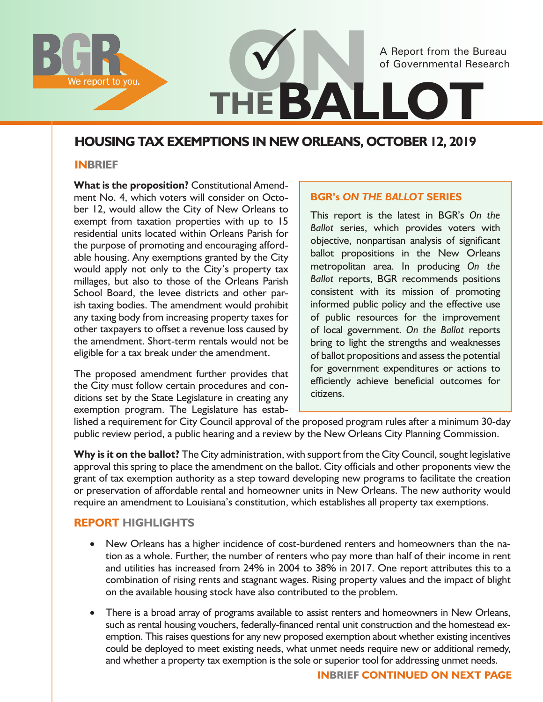

# **HOUSING TAX EXEMPTIONS IN NEW ORLEANS, OCTOBER 12, 2019**

#### **INBRIEF**

**What is the proposition?** Constitutional Amendment No. 4, which voters will consider on October 12, would allow the City of New Orleans to exempt from taxation properties with up to 15 residential units located within Orleans Parish for the purpose of promoting and encouraging affordable housing. Any exemptions granted by the City would apply not only to the City's property tax millages, but also to those of the Orleans Parish School Board, the levee districts and other parish taxing bodies. The amendment would prohibit any taxing body from increasing property taxes for other taxpayers to offset a revenue loss caused by the amendment. Short-term rentals would not be eligible for a tax break under the amendment.

The proposed amendment further provides that the City must follow certain procedures and conditions set by the State Legislature in creating any exemption program. The Legislature has estab-

#### **BGR's** *ON THE BALLOT* **SERIES**

This report is the latest in BGR's *On the Ballot* series, which provides voters with objective, nonpartisan analysis of significant ballot propositions in the New Orleans metropolitan area. In producing *On the Ballot* reports, BGR recommends positions consistent with its mission of promoting informed public policy and the effective use of public resources for the improvement of local government. *On the Ballot* reports bring to light the strengths and weaknesses of ballot propositions and assess the potential for government expenditures or actions to efficiently achieve beneficial outcomes for citizens.

lished a requirement for City Council approval of the proposed program rules after a minimum 30-day public review period, a public hearing and a review by the New Orleans City Planning Commission.

Why is it on the ballot? The City administration, with support from the City Council, sought legislative approval this spring to place the amendment on the ballot. City officials and other proponents view the grant of tax exemption authority as a step toward developing new programs to facilitate the creation or preservation of affordable rental and homeowner units in New Orleans. The new authority would require an amendment to Louisiana's constitution, which establishes all property tax exemptions.

## **Report Highlights**

- New Orleans has a higher incidence of cost-burdened renters and homeowners than the nation as a whole. Further, the number of renters who pay more than half of their income in rent and utilities has increased from 24% in 2004 to 38% in 2017. One report attributes this to a combination of rising rents and stagnant wages. Rising property values and the impact of blight on the available housing stock have also contributed to the problem.
- There is a broad array of programs available to assist renters and homeowners in New Orleans, such as rental housing vouchers, federally-financed rental unit construction and the homestead exemption. This raises questions for any new proposed exemption about whether existing incentives could be deployed to meet existing needs, what unmet needs require new or additional remedy, and whether a property tax exemption is the sole or superior tool for addressing unmet needs.